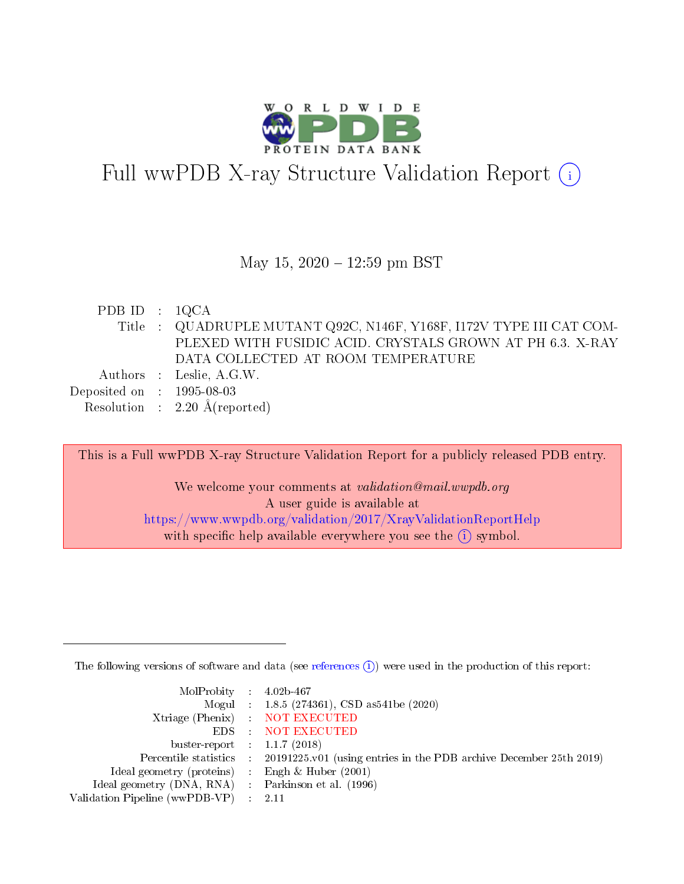

# Full wwPDB X-ray Structure Validation Report (i)

### May 15,  $2020 - 12:59$  pm BST

PDB ID : 1QCA Title : QUADRUPLE MUTANT Q92C, N146F, Y168F, I172V TYPE III CAT COM-PLEXED WITH FUSIDIC ACID. CRYSTALS GROWN AT PH 6.3. X-RAY DATA COLLECTED AT ROOM TEMPERATURE Authors : Leslie, A.G.W. Deposited on : 1995-08-03 Resolution : 2.20 Å(reported)

This is a Full wwPDB X-ray Structure Validation Report for a publicly released PDB entry. We welcome your comments at validation@mail.wwpdb.org A user guide is available at <https://www.wwpdb.org/validation/2017/XrayValidationReportHelp> with specific help available everywhere you see the  $(i)$  symbol.

The following versions of software and data (see [references](https://www.wwpdb.org/validation/2017/XrayValidationReportHelp#references)  $(1)$ ) were used in the production of this report:

| MolProbity : $4.02b-467$                            |                                                                                            |
|-----------------------------------------------------|--------------------------------------------------------------------------------------------|
|                                                     | Mogul : $1.8.5$ (274361), CSD as 541be (2020)                                              |
|                                                     | Xtriage (Phenix) NOT EXECUTED                                                              |
|                                                     | EDS : NOT EXECUTED                                                                         |
| buster-report : $1.1.7(2018)$                       |                                                                                            |
|                                                     | Percentile statistics : 20191225.v01 (using entries in the PDB archive December 25th 2019) |
| Ideal geometry (proteins) :                         | Engh & Huber $(2001)$                                                                      |
| Ideal geometry (DNA, RNA) : Parkinson et al. (1996) |                                                                                            |
| Validation Pipeline (wwPDB-VP)                      | -2.11                                                                                      |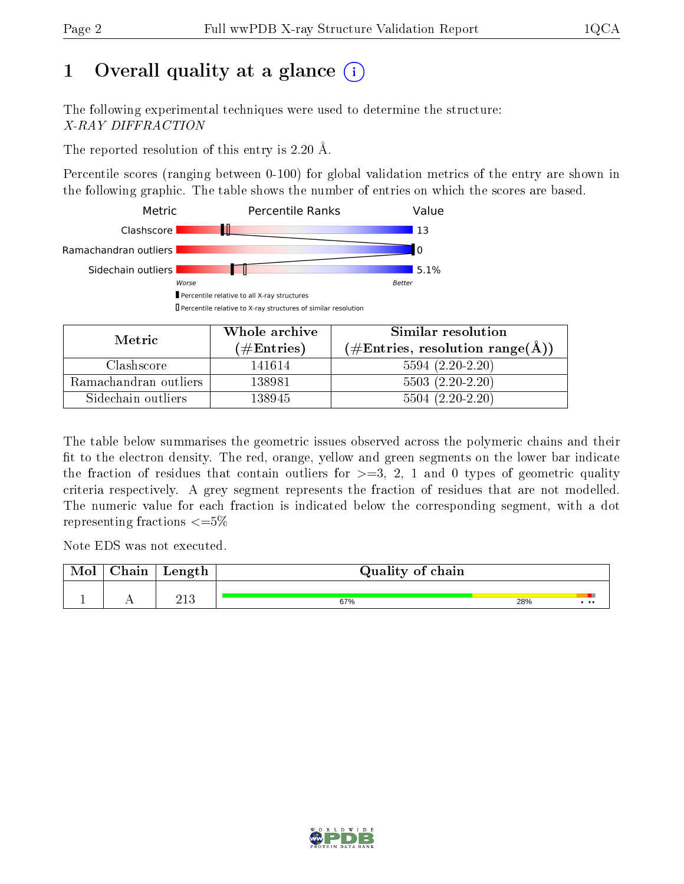# 1 [O](https://www.wwpdb.org/validation/2017/XrayValidationReportHelp#overall_quality)verall quality at a glance  $(i)$

The following experimental techniques were used to determine the structure: X-RAY DIFFRACTION

The reported resolution of this entry is 2.20 Å.

Percentile scores (ranging between 0-100) for global validation metrics of the entry are shown in the following graphic. The table shows the number of entries on which the scores are based.



| Metric                | Whole archive       | Similar resolution                                       |
|-----------------------|---------------------|----------------------------------------------------------|
|                       | (# $\rm{Entries}$ ) | $(\#\text{Entries}, \text{resolution range}(\text{\AA})$ |
| Clashscore            | 141614              | $5594(2.20-2.20)$                                        |
| Ramachandran outliers | 138981              | $5503(2.20-2.20)$                                        |
| Sidechain outliers    | 138945              | $5504(2.20-2.20)$                                        |

The table below summarises the geometric issues observed across the polymeric chains and their fit to the electron density. The red, orange, yellow and green segments on the lower bar indicate the fraction of residues that contain outliers for  $\geq=3$ , 2, 1 and 0 types of geometric quality criteria respectively. A grey segment represents the fraction of residues that are not modelled. The numeric value for each fraction is indicated below the corresponding segment, with a dot representing fractions  $\leq=5\%$ 

Note EDS was not executed.

| Mol | Chain | Length | Quality of chain |     |          |  |  |
|-----|-------|--------|------------------|-----|----------|--|--|
|     |       | വ വ    | 67%              | 28% | $\cdots$ |  |  |

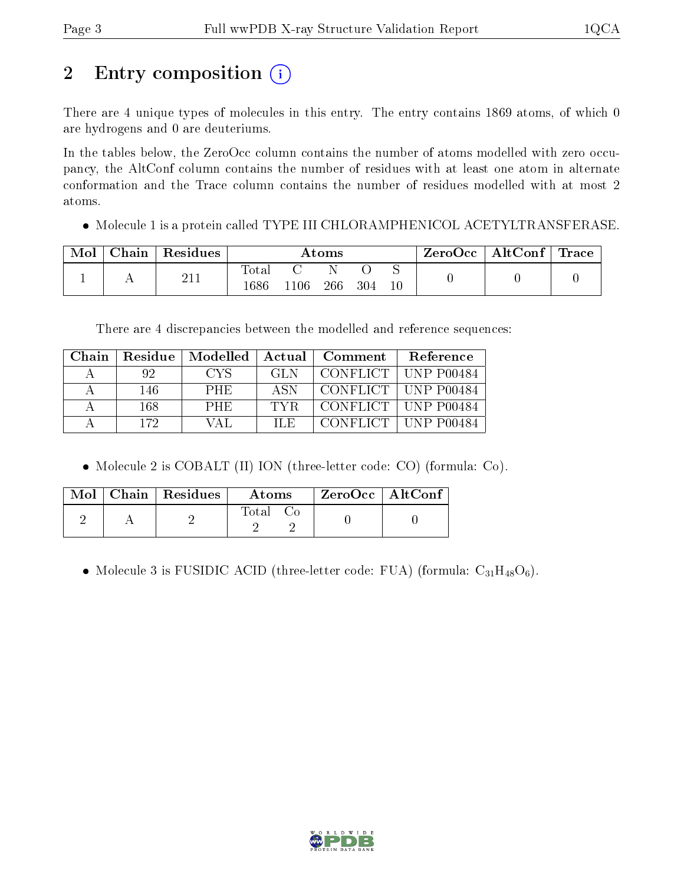# 2 Entry composition (i)

There are 4 unique types of molecules in this entry. The entry contains 1869 atoms, of which 0 are hydrogens and 0 are deuteriums.

In the tables below, the ZeroOcc column contains the number of atoms modelled with zero occupancy, the AltConf column contains the number of residues with at least one atom in alternate conformation and the Trace column contains the number of residues modelled with at most 2 atoms.

Molecule 1 is a protein called TYPE III CHLORAMPHENICOL ACETYLTRANSFERASE.

| Mol | Chain | Residues | Atoms         |     |     |     | $\text{ZeroOcc} \mid \text{AltConf} \mid \text{Trace}$ |  |  |
|-----|-------|----------|---------------|-----|-----|-----|--------------------------------------------------------|--|--|
|     |       |          | Tota.<br>1686 | 106 | 266 | 304 | $10\,$                                                 |  |  |

There are 4 discrepancies between the modelled and reference sequences:

| Chain | Residue | Modelled | Actual | Comment | Reference             |
|-------|---------|----------|--------|---------|-----------------------|
| A     | 92      | CYS.     | GL N   |         | CONFLICT   UNP P00484 |
|       | 146     | PHE.     | ASN    |         | CONFLICT   UNP P00484 |
|       | 168     | PHE.     | TYR.   |         | CONFLICT   UNP P00484 |
|       | 172.    | VAL      | ILE.   |         | CONFLICT   UNP P00484 |

• Molecule 2 is COBALT (II) ION (three-letter code: CO) (formula: Co).

|  | Mol   Chain   Residues | Atoms  | $\rm ZeroOcc \mid AltConf$ |  |
|--|------------------------|--------|----------------------------|--|
|  |                        | l'otal |                            |  |

• Molecule 3 is FUSIDIC ACID (three-letter code: FUA) (formula:  $C_{31}H_{48}O_6$ ).

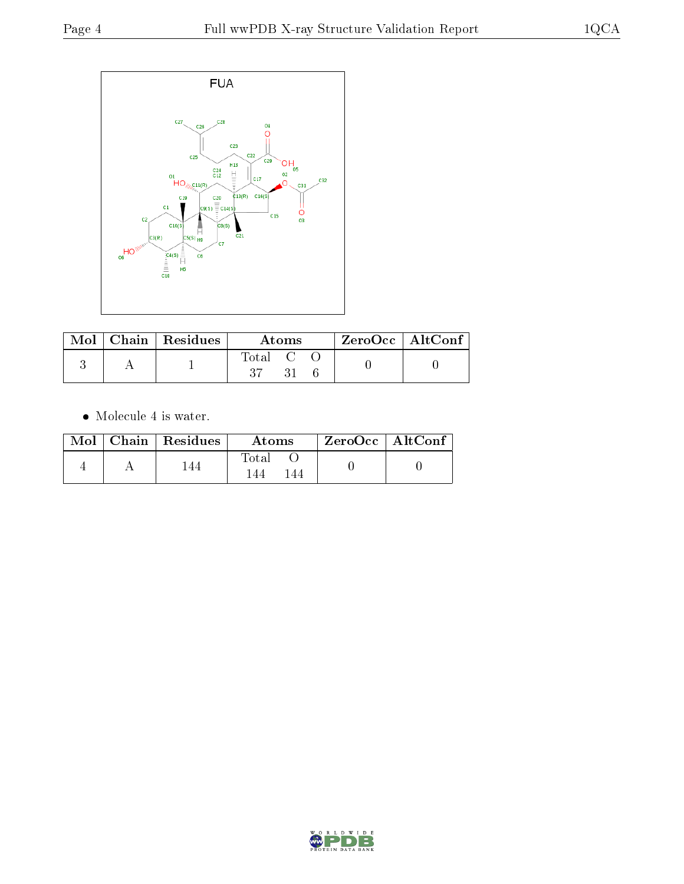

|  | $\mid$ Mol $\mid$ Chain $\mid$ Residues $\mid$ | Atoms     |  |  | ZeroOcc   AltConf |  |
|--|------------------------------------------------|-----------|--|--|-------------------|--|
|  |                                                | Total C O |  |  |                   |  |

Molecule 4 is water.

|  | $Mol$   Chain   Residues | Atoms              | $ZeroOcc \   \ AltConf \$ |  |
|--|--------------------------|--------------------|---------------------------|--|
|  |                          | $\rm Total$<br>-44 |                           |  |

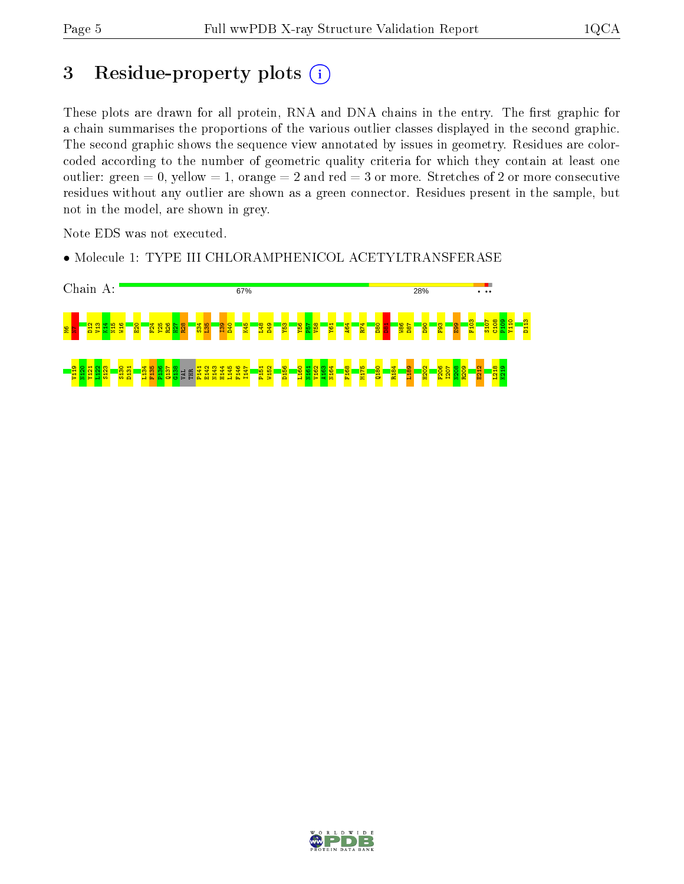# 3 Residue-property plots  $(i)$

These plots are drawn for all protein, RNA and DNA chains in the entry. The first graphic for a chain summarises the proportions of the various outlier classes displayed in the second graphic. The second graphic shows the sequence view annotated by issues in geometry. Residues are colorcoded according to the number of geometric quality criteria for which they contain at least one outlier: green  $= 0$ , yellow  $= 1$ , orange  $= 2$  and red  $= 3$  or more. Stretches of 2 or more consecutive residues without any outlier are shown as a green connector. Residues present in the sample, but not in the model, are shown in grey.

Note EDS was not executed.

• Molecule 1: TYPE III CHLORAMPHENICOL ACETYLTRANSFERASE



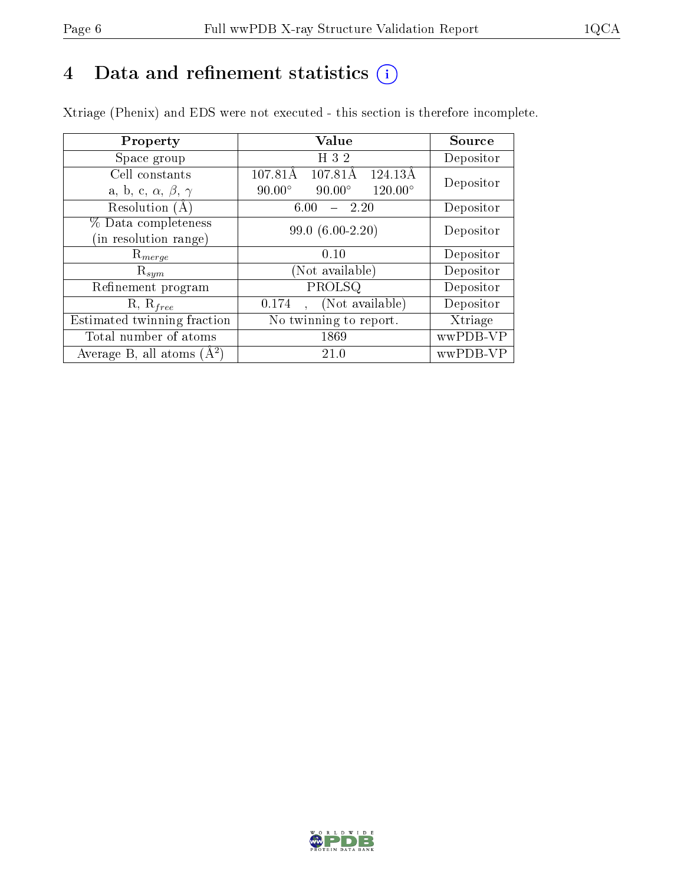# 4 Data and refinement statistics  $(i)$

Xtriage (Phenix) and EDS were not executed - this section is therefore incomplete.

| Property                               | <b>Value</b>                                       | Source    |  |
|----------------------------------------|----------------------------------------------------|-----------|--|
| Space group                            | H 3 2                                              | Depositor |  |
| Cell constants                         | 107.81Å<br>$107.81\text{\AA}$<br>124.13Å           |           |  |
| a, b, c, $\alpha$ , $\beta$ , $\gamma$ | $90.00^\circ$<br>$120.00^{\circ}$<br>$90.00^\circ$ | Depositor |  |
| Resolution $(A)$                       | 2.20<br>6.00                                       | Depositor |  |
| % Data completeness                    | $99.0(6.00-2.20)$                                  | Depositor |  |
| (in resolution range)                  |                                                    |           |  |
| $\mathrm{R}_{merge}$                   | 0.10                                               | Depositor |  |
| $\mathrm{R}_{sym}$                     | (Not available)                                    | Depositor |  |
| Refinement program                     | PROLSQ                                             | Depositor |  |
| $R, R_{free}$                          | (Not available)<br>0.174                           | Depositor |  |
| Estimated twinning fraction            | $\overline{\text{No}}$ twinning to report.         | Xtriage   |  |
| Total number of atoms                  | 1869                                               | wwPDB-VP  |  |
| Average B, all atoms $(A^2)$           | 21.0                                               | wwPDB-VP  |  |

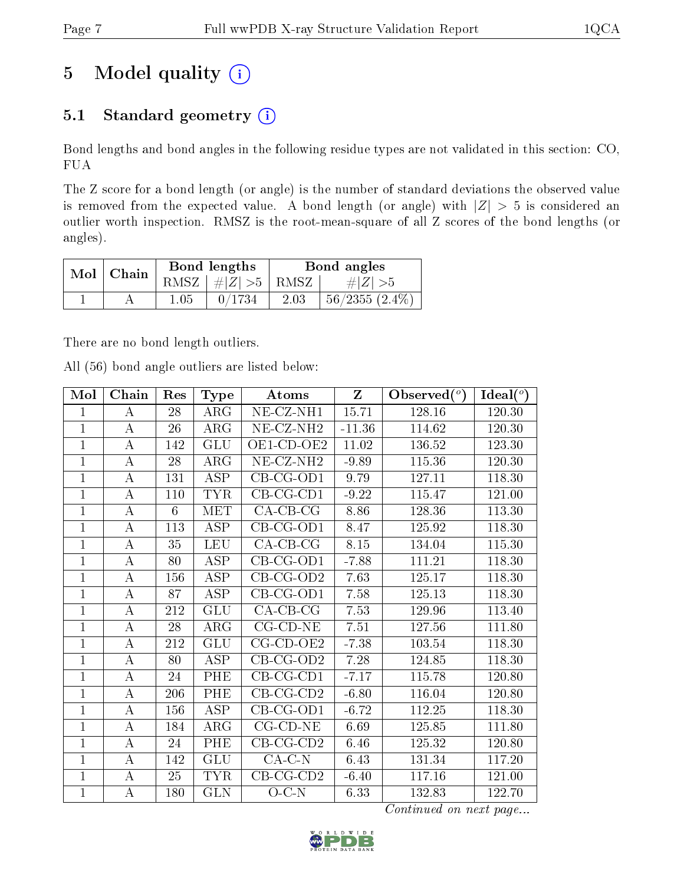# 5 Model quality  $(i)$

## 5.1 Standard geometry  $(i)$

Bond lengths and bond angles in the following residue types are not validated in this section: CO, FUA

The Z score for a bond length (or angle) is the number of standard deviations the observed value is removed from the expected value. A bond length (or angle) with  $|Z| > 5$  is considered an outlier worth inspection. RMSZ is the root-mean-square of all Z scores of the bond lengths (or angles).

| Mol   Chain |      | Bond lengths                 |      | Bond angles      |
|-------------|------|------------------------------|------|------------------|
|             |      | RMSZ $\mid \#Z \mid >5$ RMSZ |      | $\# Z  > 5$      |
|             | 1.05 | 0/1734                       | 2.03 | $56/2355(2.4\%)$ |

There are no bond length outliers.

All (56) bond angle outliers are listed below:

| Mol            | Chain            | Res | <b>Type</b>             | <b>Atoms</b>            | Z        | Observed $(°)$ | Ideal $(°)$ |
|----------------|------------------|-----|-------------------------|-------------------------|----------|----------------|-------------|
| $\mathbf{1}$   | A                | 28  | $\rm{ARG}$              | NE-CZ-NH1               | 15.71    | 128.16         | 120.30      |
| $\mathbf{1}$   | А                | 26  | ARG                     | NE-CZ-NH <sub>2</sub>   | $-11.36$ | 114.62         | 120.30      |
| $\mathbf{1}$   | А                | 142 | GLU                     | OE1-CD-OE2              | 11.02    | 136.52         | 123.30      |
| $\mathbf{1}$   | $\boldsymbol{A}$ | 28  | ARG                     | NE-CZ-NH <sub>2</sub>   | $-9.89$  | 115.36         | 120.30      |
| $\mathbf{1}$   | $\bf{A}$         | 131 | <b>ASP</b>              | $\overline{C}B$ -CG-OD1 | 9.79     | 127.11         | 118.30      |
| $\mathbf{1}$   | $\boldsymbol{A}$ | 110 | <b>TYR</b>              | $CB-CG-CD1$             | $-9.22$  | 115.47         | 121.00      |
| $\mathbf{1}$   | A                | 6   | MET                     | $CA-CB-CG$              | 8.86     | 128.36         | 113.30      |
| $\mathbf{1}$   | A                | 113 | $\overline{\text{ASP}}$ | CB-CG-OD1               | 8.47     | 125.92         | 118.30      |
| $\mathbf 1$    | $\boldsymbol{A}$ | 35  | <b>LEU</b>              | $CA-CB-CG$              | 8.15     | 134.04         | 115.30      |
| $\overline{1}$ | А                | 80  | ASP                     | $CB-CG-OD1$             | $-7.88$  | 111.21         | 118.30      |
| $\mathbf{1}$   | А                | 156 | ASP                     | $CB-CG-OD2$             | 7.63     | 125.17         | 118.30      |
| $\mathbf 1$    | А                | 87  | <b>ASP</b>              | CB-CG-OD1               | 7.58     | 125.13         | 118.30      |
| $\mathbf{1}$   | $\boldsymbol{A}$ | 212 | GLU                     | $CA-CB-CG$              | 7.53     | 129.96         | 113.40      |
| $\overline{1}$ | $\bf{A}$         | 28  | $\rm{ARG}$              | $CG$ - $CD$ - $NE$      | 7.51     | 127.56         | 111.80      |
| $\mathbf{1}$   | $\boldsymbol{A}$ | 212 | <b>GLU</b>              | $CG$ - $CD$ - $OE2$     | $-7.38$  | 103.54         | 118.30      |
| $\mathbf{1}$   | $\boldsymbol{A}$ | 80  | <b>ASP</b>              | $CB-CG-OD2$             | 7.28     | 124.85         | 118.30      |
| $\mathbf{1}$   | $\bf{A}$         | 24  | PHE                     | $CB-CG-CD1$             | $-7.17$  | 115.78         | 120.80      |
| $\overline{1}$ | A                | 206 | PHE                     | $CB-CG-CD2$             | $-6.80$  | 116.04         | 120.80      |
| $\mathbf{1}$   | $\bf{A}$         | 156 | <b>ASP</b>              | $CB-CG-OD1$             | $-6.72$  | 112.25         | 118.30      |
| $\mathbf{1}$   | А                | 184 | ARG                     | $CG$ - $CD$ - $NE$      | 6.69     | 125.85         | 111.80      |
| $\mathbf{1}$   | $\boldsymbol{A}$ | 24  | PHE                     | $CB-CG-CD2$             | 6.46     | 125.32         | 120.80      |
| $\mathbf{1}$   | $\boldsymbol{A}$ | 142 | <b>GLU</b>              | $CA-C-N$                | 6.43     | 131.34         | 117.20      |
| $\mathbf{1}$   | A                | 25  | <b>TYR</b>              | $CB-CG-CD2$             | $-6.40$  | 117.16         | 121.00      |
| $\mathbf{1}$   | А                | 180 | <b>GLN</b>              | $O-C-N$                 | 6.33     | 132.83         | 122.70      |

Continued on next page...

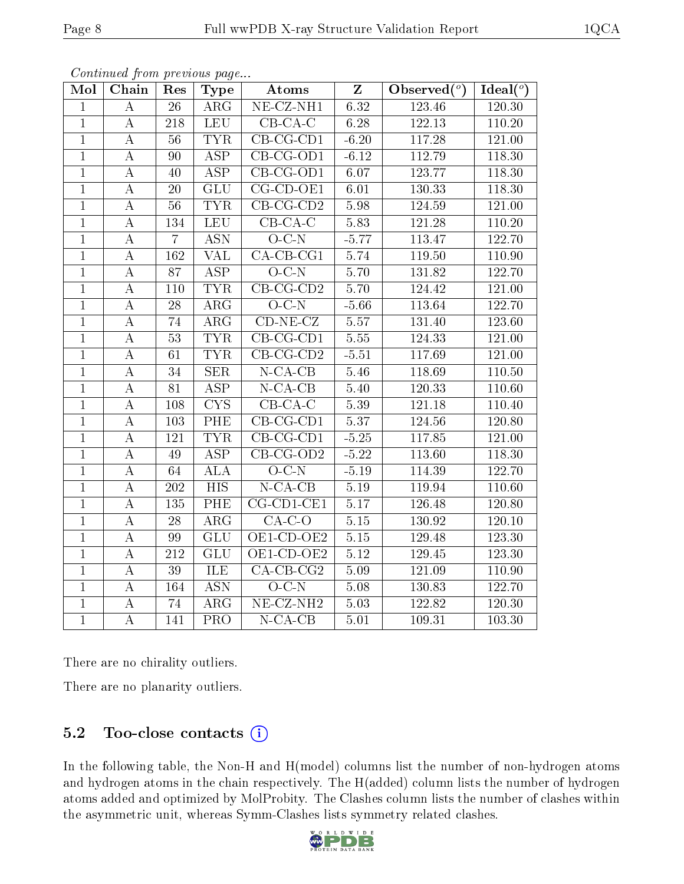| Mol            | Chain            | Res             | <b>Type</b>                    | Atoms                          | $\mathbf{Z}$ | Observed $(°)$ | Ideal $(°)$         |
|----------------|------------------|-----------------|--------------------------------|--------------------------------|--------------|----------------|---------------------|
| $\mathbf{1}$   | $\bf{A}$         | 26              | $\rm{ARG}$                     | $NE- CZ-NH1$                   | 6.32         | 123.46         | 120.30              |
| $\mathbf{1}$   | $\boldsymbol{A}$ | 218             | <b>LEU</b>                     | $CB-CA-C$                      | 6.28         | 122.13         | 110.20              |
| $\overline{1}$ | $\bf{A}$         | 56              | <b>TYR</b>                     | $CB$ -CG-CD1                   | $-6.20$      | 117.28         | 121.00              |
| $\overline{1}$ | $\boldsymbol{A}$ | 90              | <b>ASP</b>                     | $CB-CG-OD1$                    | $-6.12$      | 112.79         | 118.30              |
| $\overline{1}$ | $\boldsymbol{A}$ | 40              | <b>ASP</b>                     | $CB-CG-OD1$                    | 6.07         | 123.77         | $118.\overline{30}$ |
| $\overline{1}$ | $\boldsymbol{A}$ | 20              | $\overline{\text{GLU}}$        | $\overline{\text{CG-CD-OE1}}$  | $6.01\,$     | 130.33         | 118.30              |
| $\overline{1}$ | $\boldsymbol{A}$ | 56              | <b>TYR</b>                     | $CB-CG-CD2$                    | 5.98         | 124.59         | 121.00              |
| $\overline{1}$ | $\boldsymbol{A}$ | 134             | <b>LEU</b>                     | $CB-CA-C$                      | 5.83         | 121.28         | 110.20              |
| $\overline{1}$ | $\boldsymbol{A}$ | $\overline{7}$  | <b>ASN</b>                     | $O-C-N$                        | $-5.77$      | 113.47         | 122.70              |
| $\overline{1}$ | A                | 162             | $\overline{\text{VAL}}$        | $CA$ -CB-CG1                   | 5.74         | 119.50         | 110.90              |
| $\overline{1}$ | A                | 87              | $\overline{\text{ASP}}$        | $O-C-N$                        | 5.70         | 131.82         | 122.70              |
| $\mathbf{1}$   | $\boldsymbol{A}$ | 110             | <b>TYR</b>                     | $CB-CG-CD2$                    | 5.70         | 124.42         | 121.00              |
| $\overline{1}$ | $\boldsymbol{A}$ | 28              | $\rm{ARG}$                     | $O-C-N$                        | $-5.66$      | 113.64         | 122.70              |
| $\overline{1}$ | $\boldsymbol{A}$ | 74              | $\rm{ARG}$                     | $CD-NE- CZ$                    | 5.57         | 131.40         | 123.60              |
| $\overline{1}$ | $\bf{A}$         | $\overline{53}$ | <b>TYR</b>                     | $CB-CG-CD1$                    | 5.55         | 124.33         | 121.00              |
| $\overline{1}$ | A                | 61              | <b>TYR</b>                     | $\overline{\text{CB-CG-CD2}}$  | $-5.51$      | 117.69         | 121.00              |
| $\overline{1}$ | $\bf{A}$         | 34              | $\overline{\text{SER}}$        | $N$ -CA-CB                     | 5.46         | 118.69         | 110.50              |
| $\overline{1}$ | $\boldsymbol{A}$ | 81              | $\overline{\text{ASP}}$        | $N$ -CA-CB                     | 5.40         | 120.33         | 110.60              |
| $\mathbf{1}$   | $\boldsymbol{A}$ | 108             | $\overline{\text{C}}\text{YS}$ | $CB-CA-C$                      | 5.39         | 121.18         | 110.40              |
| $\overline{1}$ | $\boldsymbol{A}$ | 103             | PHE                            | $\overline{\text{CB-CG-CD1}}$  | 5.37         | 124.56         | 120.80              |
| $\overline{1}$ | А                | 121             | <b>TYR</b>                     | $\overline{\text{CB}}$ -CG-CD1 | $-5.25$      | 117.85         | 121.00              |
| $\overline{1}$ | $\boldsymbol{A}$ | $\overline{49}$ | $\overline{\text{ASP}}$        | $CB-CG-OD2$                    | $-5.22$      | 113.60         | 118.30              |
| $\mathbf{1}$   | $\boldsymbol{A}$ | 64              | ALA                            | $O-C-N$                        | $-5.19$      | 114.39         | 122.70              |
| $\mathbf{1}$   | $\boldsymbol{A}$ | 202             | $\overline{HIS}$               | $N$ -CA-CB                     | 5.19         | 119.94         | 110.60              |
| $\overline{1}$ | $\boldsymbol{A}$ | 135             | PHE                            | $CG-CD1-CE1$                   | 5.17         | 126.48         | 120.80              |
| $\mathbf{1}$   | $\boldsymbol{A}$ | 28              | $\rm{ARG}$                     | $\overline{CA-C-O}$            | $5.15\,$     | 130.92         | 120.10              |
| $\overline{1}$ | $\boldsymbol{A}$ | 99              | GLU                            | OE1-CD-OE2                     | $5.15\,$     | 129.48         | 123.30              |
| $\overline{1}$ | $\boldsymbol{A}$ | 212             | <b>GLU</b>                     | OE1-CD-OE2                     | 5.12         | 129.45         | 123.30              |
| $\overline{1}$ | А                | $\overline{39}$ | <b>ILE</b>                     | $CA$ -CB-CG <sub>2</sub>       | 5.09         | 121.09         | 110.90              |
| $\overline{1}$ | $\boldsymbol{A}$ | 164             | $\overline{ASN}$               | $O-C-N$                        | 5.08         | 130.83         | 122.70              |
| $\overline{1}$ | A                | 74              | $\rm{ARG}$                     | $NE$ -CZ-NH <sub>2</sub>       | 5.03         | 122.82         | 120.30              |
| $\overline{1}$ | $\boldsymbol{A}$ | 141             | PRO                            | $N$ -CA-CB                     | 5.01         | 109.31         | 103.30              |

Continued from previous page...

There are no chirality outliers.

There are no planarity outliers.

## 5.2 Too-close contacts  $(i)$

In the following table, the Non-H and H(model) columns list the number of non-hydrogen atoms and hydrogen atoms in the chain respectively. The H(added) column lists the number of hydrogen atoms added and optimized by MolProbity. The Clashes column lists the number of clashes within the asymmetric unit, whereas Symm-Clashes lists symmetry related clashes.

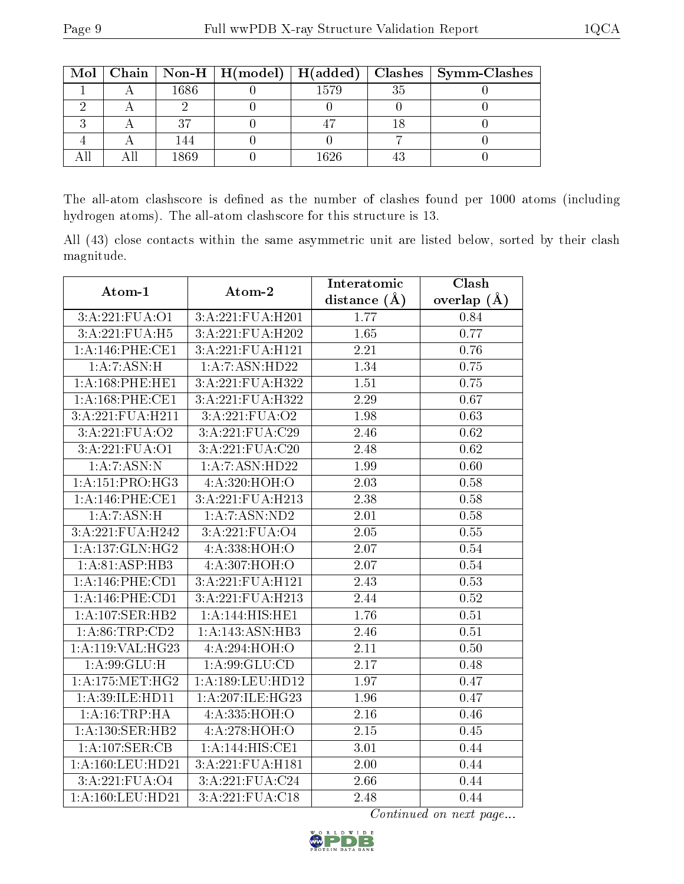|  |      |      | Mol   Chain   Non-H   H(model)   H(added)   Clashes   Symm-Clashes |
|--|------|------|--------------------------------------------------------------------|
|  | 1686 | 1579 |                                                                    |
|  |      |      |                                                                    |
|  |      |      |                                                                    |
|  |      |      |                                                                    |
|  | 1869 | 1626 |                                                                    |

The all-atom clashscore is defined as the number of clashes found per 1000 atoms (including hydrogen atoms). The all-atom clashscore for this structure is 13.

All (43) close contacts within the same asymmetric unit are listed below, sorted by their clash magnitude.

| Atom-1              | Atom-2              | Interatomic       | Clash         |
|---------------------|---------------------|-------------------|---------------|
|                     |                     | distance (Å)      | overlap $(A)$ |
| 3:A:221:FUA:O1      | 3:A:221:FUA:H201    | 1.77              | 0.84          |
| 3:A:221:FUA:H5      | 3:A:221:FUA:H202    | 1.65              | 0.77          |
| 1: A:146: PHE:CE1   | 3:A:221:FUA:H121    | 2.21              | 0.76          |
| 1:A:7:ASN:H         | 1: A: 7: ASN: HD22  | 1.34              | 0.75          |
| 1: A:168: PHE:HE1   | 3:A:221:FUA:H322    | 1.51              | 0.75          |
| 1: A:168: PHE:CE1   | 3:A:221:FUA:H322    | 2.29              | 0.67          |
| 3:A:221:FUA:H211    | 3:A:221:FUA:O2      | 1.98              | 0.63          |
| 3:A:221:FUA:O2      | 3:A:221:FUA:C29     | 2.46              | 0.62          |
| 3:A:221:FUA:O1      | 3:A:221:FUA:C20     | 2.48              | 0.62          |
| 1:A:7:ASN:N         | 1:A:7:ASN:HD22      | 1.99              | 0.60          |
| 1:A:151:PRO:HG3     | 4:A:320:HOH:O       | 2.03              | 0.58          |
| 1: A:146: PHE:CE1   | 3:A:221:FUA:H213    | 2.38              | 0.58          |
| 1:A:7:ASN:H         | 1: A: 7: ASN: ND2   | $\overline{2.01}$ | 0.58          |
| 3:A:221:FUA:H242    | 3:A:221:FUA:O4      | 2.05              | 0.55          |
| 1: A: 137: GLN: HG2 | 4:A:338:HOH:O       | 2.07              | 0.54          |
| 1:A:81:ASP:HB3      | 4:A:307:HOH:O       | 2.07              | 0.54          |
| 1: A:146:PHE:CD1    | 3: A:221: FUA: H121 | 2.43              | 0.53          |
| 1: A:146:PHE:CD1    | 3:A:221:FUA:H213    | 2.44              | 0.52          |
| 1:A:107:SER:HB2     | 1:A:144:HIS:HE1     | 1.76              | 0.51          |
| 1: A:86:TRP:CD2     | 1:A:143:ASN:HB3     | 2.46              | 0.51          |
| 1:A:119:VAL:HG23    | 4:A:294:HOH:O       | 2.11              | 0.50          |
| 1: A:99: GLU:H      | 1: A:99: GLU:CD     | 2.17              | 0.48          |
| 1: A:175:MET:HG2    | 1:A:189:LEU:HD12    | 1.97              | 0.47          |
| 1: A:39: ILE: HD11  | 1:A:207:ILE:HG23    | 1.96              | 0.47          |
| 1: A:16:TRP:HA      | 4: A: 335: HOH:O    | $\overline{2.16}$ | 0.46          |
| 1:A:130:SER:HB2     | 4:A:278:HOH:O       | 2.15              | 0.45          |
| 1:A:107:SER:CB      | 1:A:144:HIS:CE1     | 3.01              | 0.44          |
| 1:A:160:LEU:HD21    | 3:A:221:FUA:H181    | 2.00              | 0.44          |
| 3:A:221:FUA:O4      | 3:A:221:FUA:C24     | 2.66              | 0.44          |
| 1:A:160:LEU:HD21    | 3:A:221:FUA:C18     | 2.48              | 0.44          |

Continued on next page...

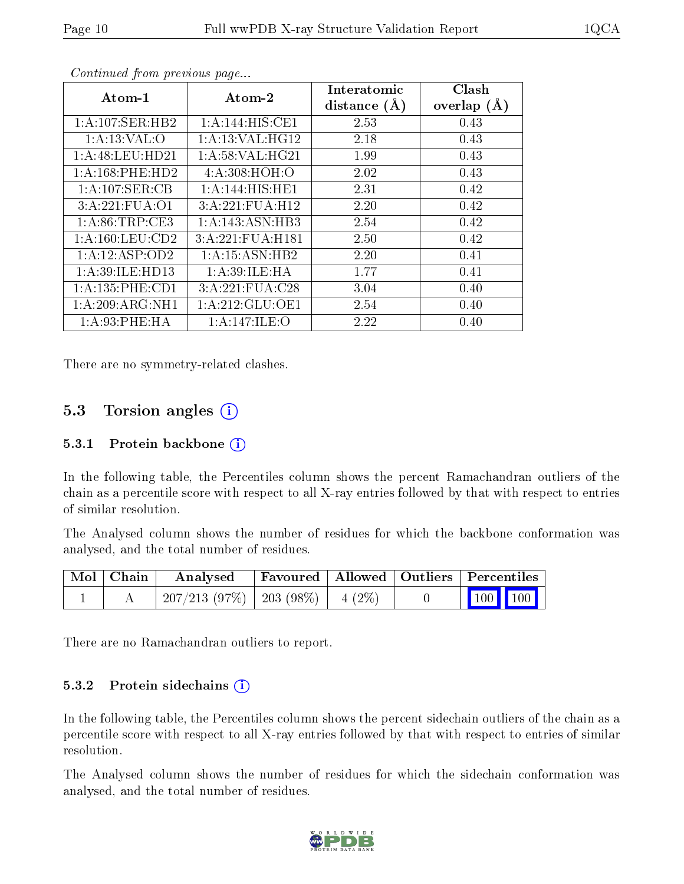| Atom-1              | Atom-2              | Interatomic<br>distance $(A)$ | Clash<br>overlap $(A)$ |
|---------------------|---------------------|-------------------------------|------------------------|
| 1:A:107:SER:HB2     | 1: A:144: HIS: CE1  | 2.53                          | 0.43                   |
| 1: A: 13: VAL: O    | 1: A: 13: VAL: HG12 | 2.18                          | 0.43                   |
| 1:A:48:LEU:HD21     | 1: A:58: VAL:HG21   | 1.99                          | 0.43                   |
| 1:A:168:PHE:HD2     | 4: A:308:HOH:O      | 2.02                          | 0.43                   |
| 1:A:107:SER:CB      | 1:A:144:HIS:HE1     | 2.31                          | 0.42                   |
| 3:A:221:FUA:01      | 3:A:221:FUA:H12     | 2.20                          | 0.42                   |
| 1: A:86:TRP:CE3     | 1: A:143: ASN:HB3   | 2.54                          | 0.42                   |
| 1: A: 160: LEU: CD2 | 3:A:221:FUA:H181    | 2.50                          | 0.42                   |
| 1:A:12:ASP:OD2      | 1: A:15: ASN:HB2    | 2.20                          | 0.41                   |
| 1:A:39:ILE:HD13     | 1: A:39: ILE: HA    | 1.77                          | 0.41                   |
| 1: A: 135: PHE: CD1 | 3:A:221:FUA:C28     | 3.04                          | 0.40                   |
| 1: A:209: ARG:NH1   | 1: A:212: GLU:OE1   | 2.54                          | 0.40                   |
| 1: A:93:PHE:HA      | 1: A:147: ILE: O    | 2.22                          | 0.40                   |

Continued from previous page...

There are no symmetry-related clashes.

## 5.3 Torsion angles  $(i)$

#### 5.3.1 Protein backbone (i)

In the following table, the Percentiles column shows the percent Ramachandran outliers of the chain as a percentile score with respect to all X-ray entries followed by that with respect to entries of similar resolution.

The Analysed column shows the number of residues for which the backbone conformation was analysed, and the total number of residues.

| Mol   Chain | $\boldsymbol{\mathrm{Analysed}}$        | Favoured   Allowed   Outliers   Percentiles |  |                                                                                    |
|-------------|-----------------------------------------|---------------------------------------------|--|------------------------------------------------------------------------------------|
|             | $207/213$ (97\%)   203 (98\%)   4 (2\%) |                                             |  | $\begin{array}{ c c c c c }\n\hline\n\multicolumn{1}{ c }{100} & 100\n\end{array}$ |

There are no Ramachandran outliers to report.

#### 5.3.2 Protein sidechains  $(i)$

In the following table, the Percentiles column shows the percent sidechain outliers of the chain as a percentile score with respect to all X-ray entries followed by that with respect to entries of similar resolution.

The Analysed column shows the number of residues for which the sidechain conformation was analysed, and the total number of residues.

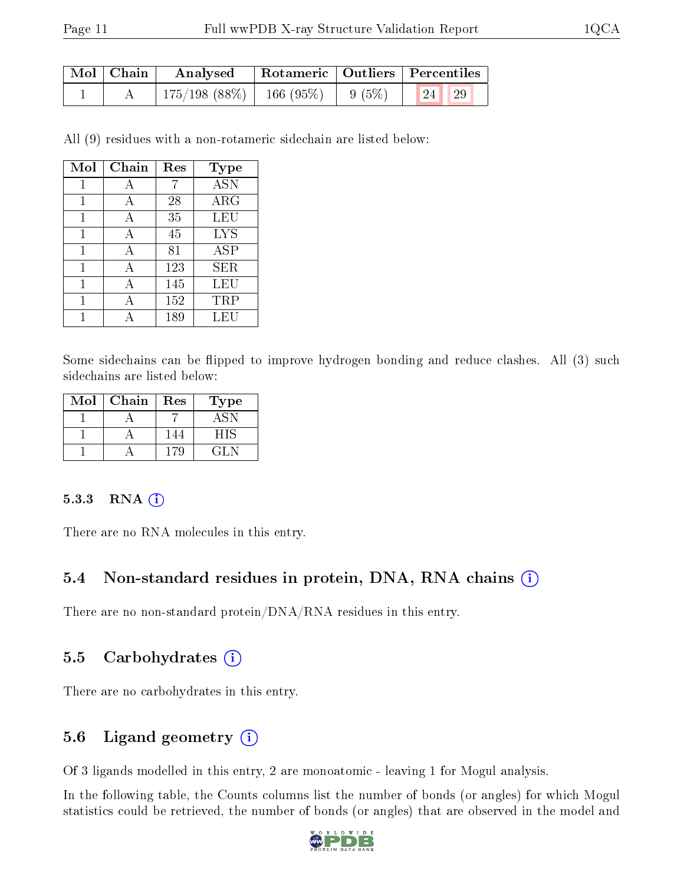| $\mid$ Mol $\mid$ Chain $\mid$ | Analysed Rotameric   Outliers   Percentiles                  |  |       |  |
|--------------------------------|--------------------------------------------------------------|--|-------|--|
|                                | $\mid$ 175/198 (88%) $\mid$ 166 (95%) $\mid$ 9 (5%) $\mid$ 1 |  | 24 29 |  |

All (9) residues with a non-rotameric sidechain are listed below:

| Mol | Chain | Res | Type       |
|-----|-------|-----|------------|
| 1   | А     | 7   | <b>ASN</b> |
| 1   | А     | 28  | $\rm{ARG}$ |
|     | А     | 35  | LEU        |
| 1   | A     | 45  | LYS        |
| 1   | А     | 81  | ASP        |
| 1   | А     | 123 | SER        |
| 1   | А     | 145 | LEU        |
|     |       | 152 | TRP        |
|     |       | 189 | LEU        |

Some sidechains can be flipped to improve hydrogen bonding and reduce clashes. All (3) such sidechains are listed below:

| Mol | Chain | Res | Type    |  |
|-----|-------|-----|---------|--|
|     |       |     |         |  |
|     |       | 144 | - 15    |  |
|     |       | -79 | ( 1 L P |  |

#### 5.3.3 RNA [O](https://www.wwpdb.org/validation/2017/XrayValidationReportHelp#rna)i

There are no RNA molecules in this entry.

#### 5.4 Non-standard residues in protein, DNA, RNA chains (i)

There are no non-standard protein/DNA/RNA residues in this entry.

#### 5.5 Carbohydrates (i)

There are no carbohydrates in this entry.

#### 5.6 Ligand geometry (i)

Of 3 ligands modelled in this entry, 2 are monoatomic - leaving 1 for Mogul analysis.

In the following table, the Counts columns list the number of bonds (or angles) for which Mogul statistics could be retrieved, the number of bonds (or angles) that are observed in the model and

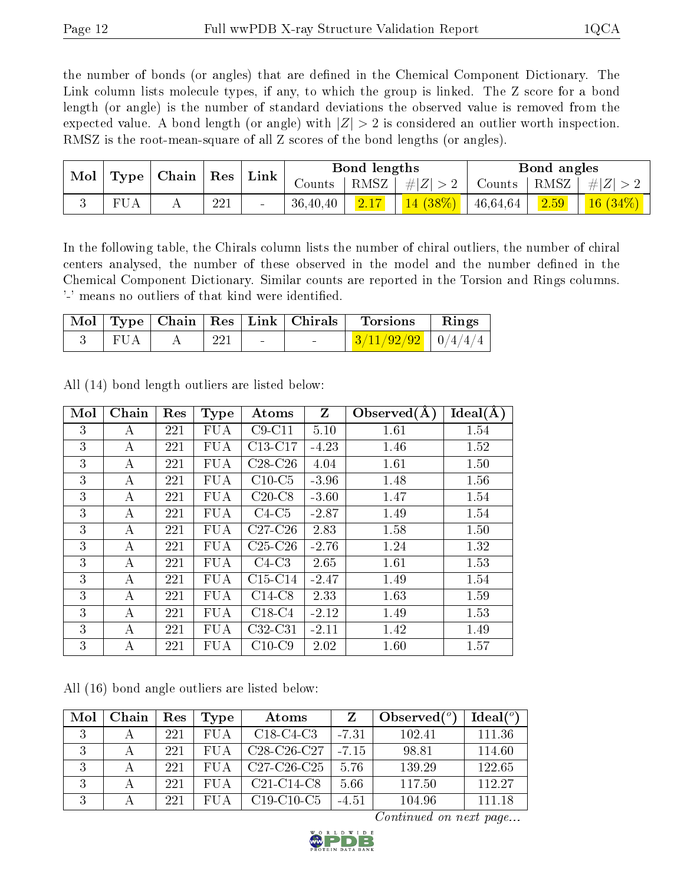the number of bonds (or angles) that are defined in the Chemical Component Dictionary. The Link column lists molecule types, if any, to which the group is linked. The Z score for a bond length (or angle) is the number of standard deviations the observed value is removed from the expected value. A bond length (or angle) with  $|Z| > 2$  is considered an outlier worth inspection. RMSZ is the root-mean-square of all Z scores of the bond lengths (or angles).

| Chain<br>Mol<br>Type | $\operatorname{Res}$ | $^{\shortmid}$ Link | Bond lengths |          |      | Bond angles     |          |                |           |
|----------------------|----------------------|---------------------|--------------|----------|------|-----------------|----------|----------------|-----------|
|                      |                      |                     |              | Counts   | RMSZ | $7 +  Z  > 2$ . | Counts   | RMSZ           | $\# Z $   |
| FUA                  |                      | 221                 | $\sim$       | 36,40,40 |      | $14(38\%)$      | 46,64,64 | $\boxed{2.59}$ | (16 (34%) |

In the following table, the Chirals column lists the number of chiral outliers, the number of chiral centers analysed, the number of these observed in the model and the number defined in the Chemical Component Dictionary. Similar counts are reported in the Torsion and Rings columns. '-' means no outliers of that kind were identified.

|     |     |        | Mol   Type   Chain   Res   Link   Chirals | Torsions                     | $\perp$ Rings |
|-----|-----|--------|-------------------------------------------|------------------------------|---------------|
| FUA | 221 | $\sim$ | $\sim$                                    | $\frac{3/11/92/92}{9/4/4/4}$ |               |

| Mol | Chain            | Res | <b>Type</b> | Atoms     | Z       | Observed $(A)$ | Ideal(A) |
|-----|------------------|-----|-------------|-----------|---------|----------------|----------|
| 3   | А                | 221 | FUA         | $C9-C11$  | 5.10    | 1.61           | 1.54     |
| 3   | А                | 221 | FUA         | $C13-C17$ | $-4.23$ | 1.46           | 1.52     |
| 3   | A                | 221 | <b>FUA</b>  | $C28-C26$ | 4.04    | 1.61           | 1.50     |
| 3   | A                | 221 | <b>FUA</b>  | $C10-C5$  | $-3.96$ | 1.48           | 1.56     |
| 3   | А                | 221 | <b>FUA</b>  | $C20-C8$  | $-3.60$ | 1.47           | 1.54     |
| 3   | $\boldsymbol{A}$ | 221 | <b>FUA</b>  | $C4-C5$   | $-2.87$ | 1.49           | 1.54     |
| 3   | A                | 221 | <b>FUA</b>  | $C27-C26$ | 2.83    | 1.58           | 1.50     |
| 3   | A                | 221 | <b>FUA</b>  | $C25-C26$ | $-2.76$ | 1.24           | 1.32     |
| 3   | A                | 221 | <b>FUA</b>  | $C4-C3$   | 2.65    | 1.61           | 1.53     |
| 3   | А                | 221 | <b>FUA</b>  | $C15-C14$ | $-2.47$ | 1.49           | 1.54     |
| 3   | A                | 221 | <b>FUA</b>  | $C14-C8$  | 2.33    | 1.63           | 1.59     |
| 3   | А                | 221 | <b>FUA</b>  | $C18-C4$  | $-2.12$ | 1.49           | 1.53     |
| 3   | A                | 221 | <b>FUA</b>  | $C32-C31$ | $-2.11$ | 1.42           | 1.49     |
| 3   | А                | 221 | <b>FUA</b>  | $C10-C9$  | 2.02    | 1.60           | 1.57     |

All (14) bond length outliers are listed below:

All (16) bond angle outliers are listed below:

| Mol | Chain | Res | Type       | Atoms                                            | Z       | Observed $(°)$ | $Ideal(^o)$ |
|-----|-------|-----|------------|--------------------------------------------------|---------|----------------|-------------|
| 3   |       | 221 | FUA        | $C18-C4-C3$                                      | $-7.31$ | 102.41         | 111.36      |
| 3   |       | 221 | FU A       | $C28-C26-C27$                                    | $-715$  | 98.81          | 114.60      |
| 3   |       | 221 | <b>FUA</b> | $C27-C26-C25$                                    | 5.76    | 139.29         | 122.65      |
| 3   |       | 221 | FUA        | C <sub>21</sub> -C <sub>14</sub> -C <sub>8</sub> | 5.66    | 117.50         | 112.27      |
| 3   |       | 221 | FUA        | $C19-C10-C5$                                     | $-4.51$ | 104.96         | 111.18      |

Continued on next page...

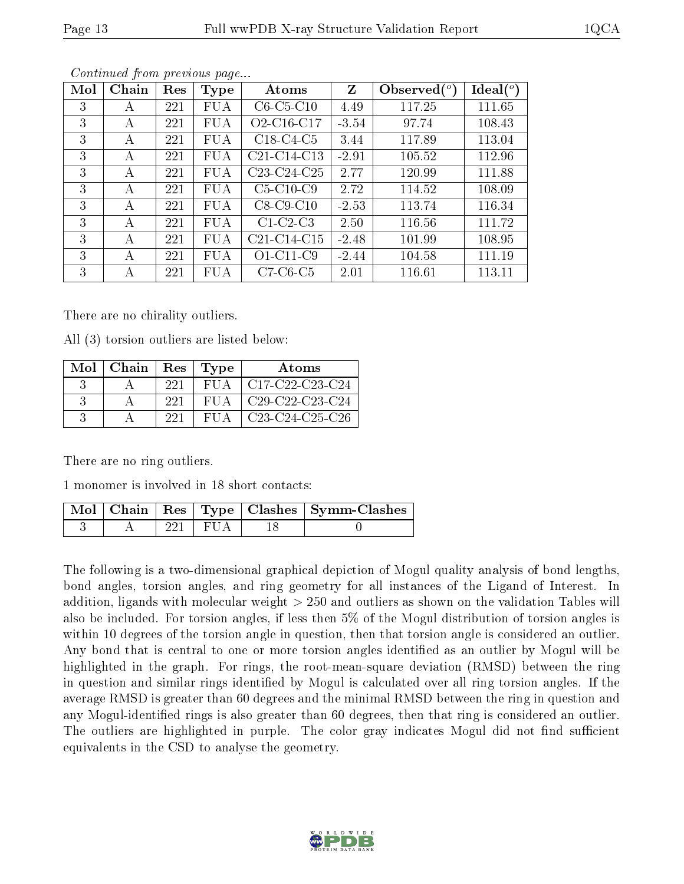| Continued from previous page |       |     |             |                                                  |         |                |             |  |  |  |
|------------------------------|-------|-----|-------------|--------------------------------------------------|---------|----------------|-------------|--|--|--|
| Mol                          | Chain | Res | <b>Type</b> | Atoms                                            | Z       | Observed $(°)$ | Ideal $(°)$ |  |  |  |
| 3                            | А     | 221 | <b>FUA</b>  | $C6-C5-C10$                                      | 4.49    | 117.25         | 111.65      |  |  |  |
| 3                            | А     | 221 | <b>FUA</b>  | O <sub>2</sub> -C <sub>16</sub> -C <sub>17</sub> | $-3.54$ | 97.74          | 108.43      |  |  |  |
| 3                            | А     | 221 | <b>FUA</b>  | $C18-C4-C5$                                      | 3.44    | 117.89         | 113.04      |  |  |  |
| 3                            | А     | 221 | FUA         | $C21-C14-C13$                                    | $-2.91$ | 105.52         | 112.96      |  |  |  |
| 3                            | А     | 221 | FUA         | $C23-C24-C25$                                    | 2.77    | 120.99         | 111.88      |  |  |  |
| 3                            | А     | 221 | <b>FUA</b>  | $C5-C10-C9$                                      | 2.72    | 114.52         | 108.09      |  |  |  |
| 3                            | А     | 221 | <b>FUA</b>  | $C8-C9-C10$                                      | $-2.53$ | 113.74         | 116.34      |  |  |  |
| 3                            | А     | 221 | <b>FUA</b>  | $C1-C2-C3$                                       | 2.50    | 116.56         | 111.72      |  |  |  |
| 3                            | A     | 221 | <b>FUA</b>  | $C21-C14-C15$                                    | $-2.48$ | 101.99         | 108.95      |  |  |  |
| 3                            | А     | 221 | <b>FUA</b>  | $O1-C11-C9$                                      | $-2.44$ | 104.58         | 111.19      |  |  |  |
| 3                            | А     | 221 | <b>FUA</b>  | $C7-C6-C5$                                       | 2.01    | 116.61         | 113.11      |  |  |  |

Continued from previous page

There are no chirality outliers.

All (3) torsion outliers are listed below:

| Mol | Chain   $\text{Res}$   $\text{Type}$ |     |       | <b>Atoms</b>                                                              |
|-----|--------------------------------------|-----|-------|---------------------------------------------------------------------------|
|     |                                      | 221 | FUA – | $\pm$ C17-C22-C23-C24                                                     |
|     |                                      | 221 | FUA – | $\mid$ C <sub>29</sub> -C <sub>22</sub> -C <sub>23</sub> -C <sub>24</sub> |
|     |                                      | 221 | FUA-  | $\sqrt{C23-C24-C25-C26}$                                                  |

There are no ring outliers.

1 monomer is involved in 18 short contacts:

|  |            | Mol   Chain   Res   Type   Clashes   Symm-Clashes |
|--|------------|---------------------------------------------------|
|  | -221   FUA |                                                   |

The following is a two-dimensional graphical depiction of Mogul quality analysis of bond lengths, bond angles, torsion angles, and ring geometry for all instances of the Ligand of Interest. In addition, ligands with molecular weight > 250 and outliers as shown on the validation Tables will also be included. For torsion angles, if less then 5% of the Mogul distribution of torsion angles is within 10 degrees of the torsion angle in question, then that torsion angle is considered an outlier. Any bond that is central to one or more torsion angles identified as an outlier by Mogul will be highlighted in the graph. For rings, the root-mean-square deviation (RMSD) between the ring in question and similar rings identified by Mogul is calculated over all ring torsion angles. If the average RMSD is greater than 60 degrees and the minimal RMSD between the ring in question and any Mogul-identified rings is also greater than 60 degrees, then that ring is considered an outlier. The outliers are highlighted in purple. The color gray indicates Mogul did not find sufficient equivalents in the CSD to analyse the geometry.

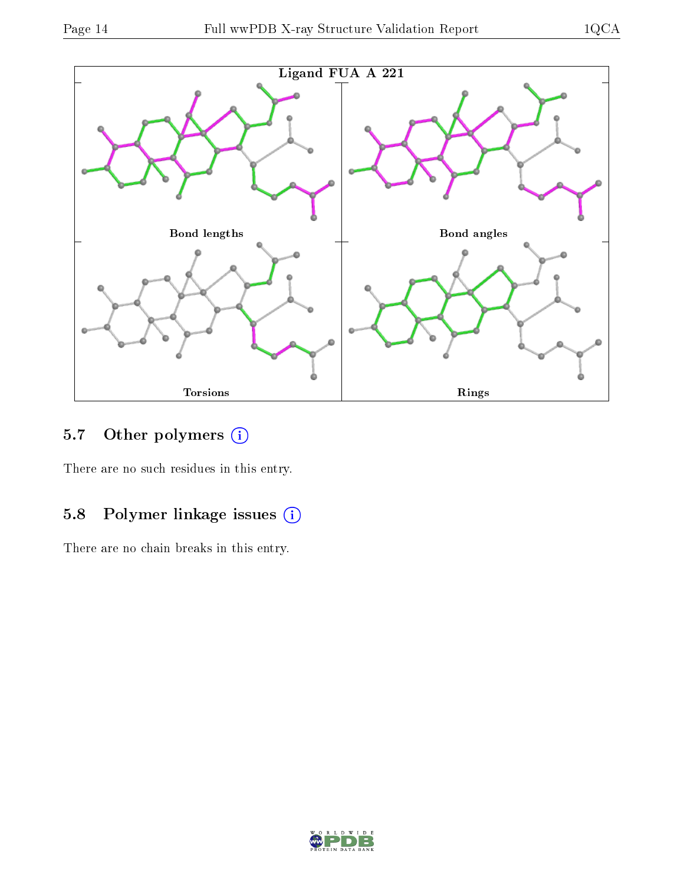

# 5.7 [O](https://www.wwpdb.org/validation/2017/XrayValidationReportHelp#nonstandard_residues_and_ligands)ther polymers (i)

There are no such residues in this entry.

# 5.8 Polymer linkage issues (i)

There are no chain breaks in this entry.